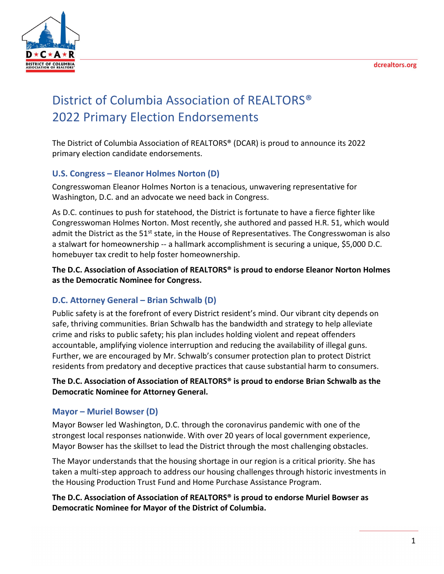

# District of Columbia Association of REALTORS® 2022 Primary Election Endorsements

The District of Columbia Association of REALTORS® (DCAR) is proud to announce its 2022 primary election candidate endorsements.

## **U.S. Congress – Eleanor Holmes Norton (D)**

Congresswoman Eleanor Holmes Norton is a tenacious, unwavering representative for Washington, D.C. and an advocate we need back in Congress.

As D.C. continues to push for statehood, the District is fortunate to have a fierce fighter like Congresswoman Holmes Norton. Most recently, she authored and passed H.R. 51, which would admit the District as the 51<sup>st</sup> state, in the House of Representatives. The Congresswoman is also a stalwart for homeownership -- a hallmark accomplishment is securing a unique, \$5,000 D.C. homebuyer tax credit to help foster homeownership.

**The D.C. Association of Association of REALTORS® is proud to endorse Eleanor Norton Holmes as the Democratic Nominee for Congress.** 

### **D.C. Attorney General – Brian Schwalb (D)**

Public safety is at the forefront of every District resident's mind. Our vibrant city depends on safe, thriving communities. Brian Schwalb has the bandwidth and strategy to help alleviate crime and risks to public safety; his plan includes holding violent and repeat offenders accountable, amplifying violence interruption and reducing the availability of illegal guns. Further, we are encouraged by Mr. Schwalb's consumer protection plan to protect District residents from predatory and deceptive practices that cause substantial harm to consumers.

#### **The D.C. Association of Association of REALTORS® is proud to endorse Brian Schwalb as the Democratic Nominee for Attorney General.**

### **Mayor – Muriel Bowser (D)**

Mayor Bowser led Washington, D.C. through the coronavirus pandemic with one of the strongest local responses nationwide. With over 20 years of local government experience, Mayor Bowser has the skillset to lead the District through the most challenging obstacles.

The Mayor understands that the housing shortage in our region is a critical priority. She has taken a multi-step approach to address our housing challenges through historic investments in the Housing Production Trust Fund and Home Purchase Assistance Program.

**The D.C. Association of Association of REALTORS® is proud to endorse Muriel Bowser as Democratic Nominee for Mayor of the District of Columbia.**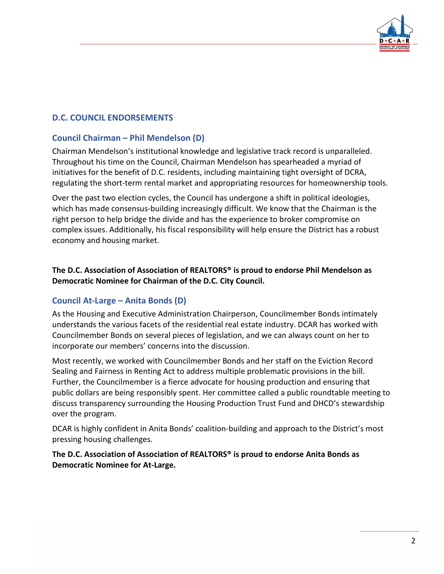

## **D.C. COUNCIL ENDORSEMENTS**

## **Council Chairman – Phil Mendelson (D)**

Chairman Mendelson's institutional knowledge and legislative track record is unparalleled. Throughout his time on the Council, Chairman Mendelson has spearheaded a myriad of initiatives for the benefit of D.C. residents, including maintaining tight oversight of DCRA, regulating the short-term rental market and appropriating resources for homeownership tools.

Over the past two election cycles, the Council has undergone a shift in political ideologies, which has made consensus-building increasingly difficult. We know that the Chairman is the right person to help bridge the divide and has the experience to broker compromise on complex issues. Additionally, his fiscal responsibility will help ensure the District has a robust economy and housing market.

#### **The D.C. Association of Association of REALTORS® is proud to endorse Phil Mendelson as Democratic Nominee for Chairman of the D.C. City Council.**

### **Council At-Large – Anita Bonds (D)**

As the Housing and Executive Administration Chairperson, Councilmember Bonds intimately understands the various facets of the residential real estate industry. DCAR has worked with Councilmember Bonds on several pieces of legislation, and we can always count on her to incorporate our members' concerns into the discussion.

Most recently, we worked with Councilmember Bonds and her staff on the Eviction Record Sealing and Fairness in Renting Act to address multiple problematic provisions in the bill. Further, the Councilmember is a fierce advocate for housing production and ensuring that public dollars are being responsibly spent. Her committee called a public roundtable meeting to discuss transparency surrounding the Housing Production Trust Fund and DHCD's stewardship over the program.

DCAR is highly confident in Anita Bonds' coalition-building and approach to the District's most pressing housing challenges.

**The D.C. Association of Association of REALTORS® is proud to endorse Anita Bonds as Democratic Nominee for At-Large.**